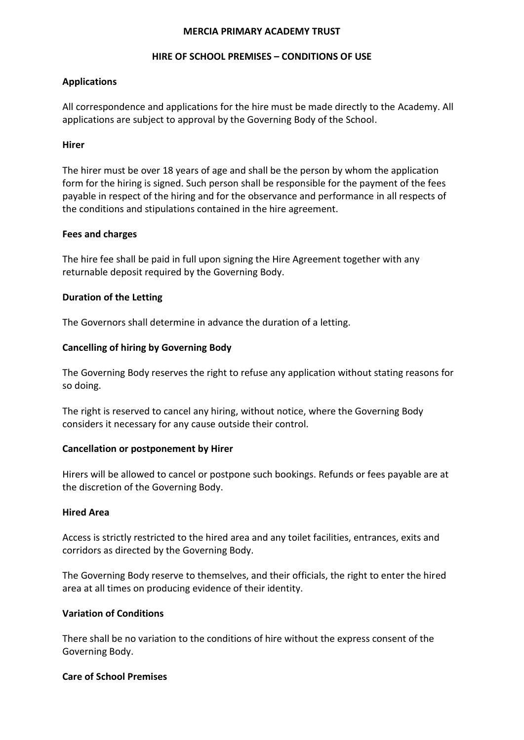#### **MERCIA PRIMARY ACADEMY TRUST**

#### **HIRE OF SCHOOL PREMISES – CONDITIONS OF USE**

### **Applications**

All correspondence and applications for the hire must be made directly to the Academy. All applications are subject to approval by the Governing Body of the School.

### **Hirer**

The hirer must be over 18 years of age and shall be the person by whom the application form for the hiring is signed. Such person shall be responsible for the payment of the fees payable in respect of the hiring and for the observance and performance in all respects of the conditions and stipulations contained in the hire agreement.

#### **Fees and charges**

The hire fee shall be paid in full upon signing the Hire Agreement together with any returnable deposit required by the Governing Body.

# **Duration of the Letting**

The Governors shall determine in advance the duration of a letting.

# **Cancelling of hiring by Governing Body**

The Governing Body reserves the right to refuse any application without stating reasons for so doing.

The right is reserved to cancel any hiring, without notice, where the Governing Body considers it necessary for any cause outside their control.

#### **Cancellation or postponement by Hirer**

Hirers will be allowed to cancel or postpone such bookings. Refunds or fees payable are at the discretion of the Governing Body.

#### **Hired Area**

Access is strictly restricted to the hired area and any toilet facilities, entrances, exits and corridors as directed by the Governing Body.

The Governing Body reserve to themselves, and their officials, the right to enter the hired area at all times on producing evidence of their identity.

#### **Variation of Conditions**

There shall be no variation to the conditions of hire without the express consent of the Governing Body.

#### **Care of School Premises**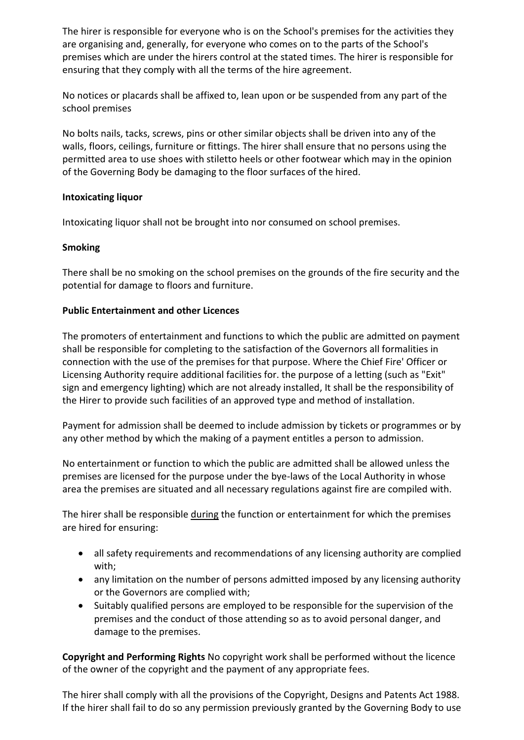The hirer is responsible for everyone who is on the School's premises for the activities they are organising and, generally, for everyone who comes on to the parts of the School's premises which are under the hirers control at the stated times. The hirer is responsible for ensuring that they comply with all the terms of the hire agreement.

No notices or placards shall be affixed to, lean upon or be suspended from any part of the school premises

No bolts nails, tacks, screws, pins or other similar objects shall be driven into any of the walls, floors, ceilings, furniture or fittings. The hirer shall ensure that no persons using the permitted area to use shoes with stiletto heels or other footwear which may in the opinion of the Governing Body be damaging to the floor surfaces of the hired.

# **Intoxicating liquor**

Intoxicating liquor shall not be brought into nor consumed on school premises.

# **Smoking**

There shall be no smoking on the school premises on the grounds of the fire security and the potential for damage to floors and furniture.

# **Public Entertainment and other Licences**

The promoters of entertainment and functions to which the public are admitted on payment shall be responsible for completing to the satisfaction of the Governors all formalities in connection with the use of the premises for that purpose. Where the Chief Fire' Officer or Licensing Authority require additional facilities for. the purpose of a letting (such as "Exit" sign and emergency lighting) which are not already installed, It shall be the responsibility of the Hirer to provide such facilities of an approved type and method of installation.

Payment for admission shall be deemed to include admission by tickets or programmes or by any other method by which the making of a payment entitles a person to admission.

No entertainment or function to which the public are admitted shall be allowed unless the premises are licensed for the purpose under the bye-laws of the Local Authority in whose area the premises are situated and all necessary regulations against fire are compiled with.

The hirer shall be responsible during the function or entertainment for which the premises are hired for ensuring:

- all safety requirements and recommendations of any licensing authority are complied with;
- any limitation on the number of persons admitted imposed by any licensing authority or the Governors are complied with;
- Suitably qualified persons are employed to be responsible for the supervision of the premises and the conduct of those attending so as to avoid personal danger, and damage to the premises.

**Copyright and Performing Rights** No copyright work shall be performed without the licence of the owner of the copyright and the payment of any appropriate fees.

The hirer shall comply with all the provisions of the Copyright, Designs and Patents Act 1988. If the hirer shall fail to do so any permission previously granted by the Governing Body to use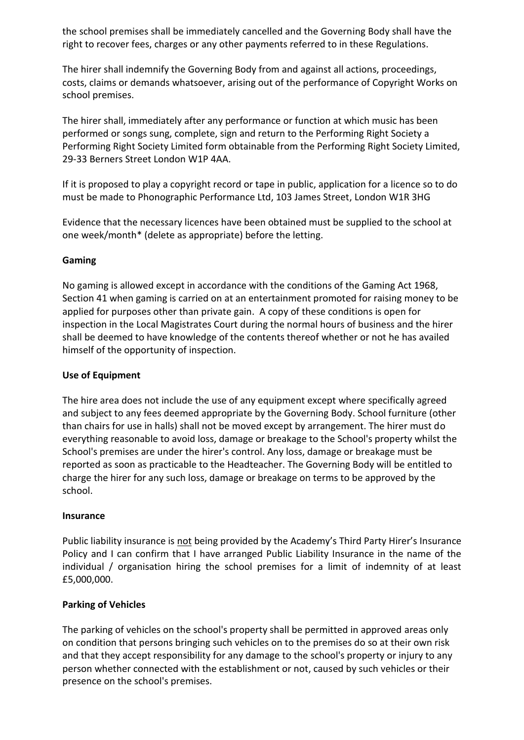the school premises shall be immediately cancelled and the Governing Body shall have the right to recover fees, charges or any other payments referred to in these Regulations.

The hirer shall indemnify the Governing Body from and against all actions, proceedings, costs, claims or demands whatsoever, arising out of the performance of Copyright Works on school premises.

The hirer shall, immediately after any performance or function at which music has been performed or songs sung, complete, sign and return to the Performing Right Society a Performing Right Society Limited form obtainable from the Performing Right Society Limited, 29-33 Berners Street London W1P 4AA.

If it is proposed to play a copyright record or tape in public, application for a licence so to do must be made to Phonographic Performance Ltd, 103 James Street, London W1R 3HG

Evidence that the necessary licences have been obtained must be supplied to the school at one week/month\* (delete as appropriate) before the letting.

# **Gaming**

No gaming is allowed except in accordance with the conditions of the Gaming Act 1968, Section 41 when gaming is carried on at an entertainment promoted for raising money to be applied for purposes other than private gain. A copy of these conditions is open for inspection in the Local Magistrates Court during the normal hours of business and the hirer shall be deemed to have knowledge of the contents thereof whether or not he has availed himself of the opportunity of inspection.

# **Use of Equipment**

The hire area does not include the use of any equipment except where specifically agreed and subject to any fees deemed appropriate by the Governing Body. School furniture (other than chairs for use in halls) shall not be moved except by arrangement. The hirer must do everything reasonable to avoid loss, damage or breakage to the School's property whilst the School's premises are under the hirer's control. Any loss, damage or breakage must be reported as soon as practicable to the Headteacher. The Governing Body will be entitled to charge the hirer for any such loss, damage or breakage on terms to be approved by the school.

#### **Insurance**

Public liability insurance is not being provided by the Academy's Third Party Hirer's Insurance Policy and I can confirm that I have arranged Public Liability Insurance in the name of the individual / organisation hiring the school premises for a limit of indemnity of at least £5,000,000.

# **Parking of Vehicles**

The parking of vehicles on the school's property shall be permitted in approved areas only on condition that persons bringing such vehicles on to the premises do so at their own risk and that they accept responsibility for any damage to the school's property or injury to any person whether connected with the establishment or not, caused by such vehicles or their presence on the school's premises.